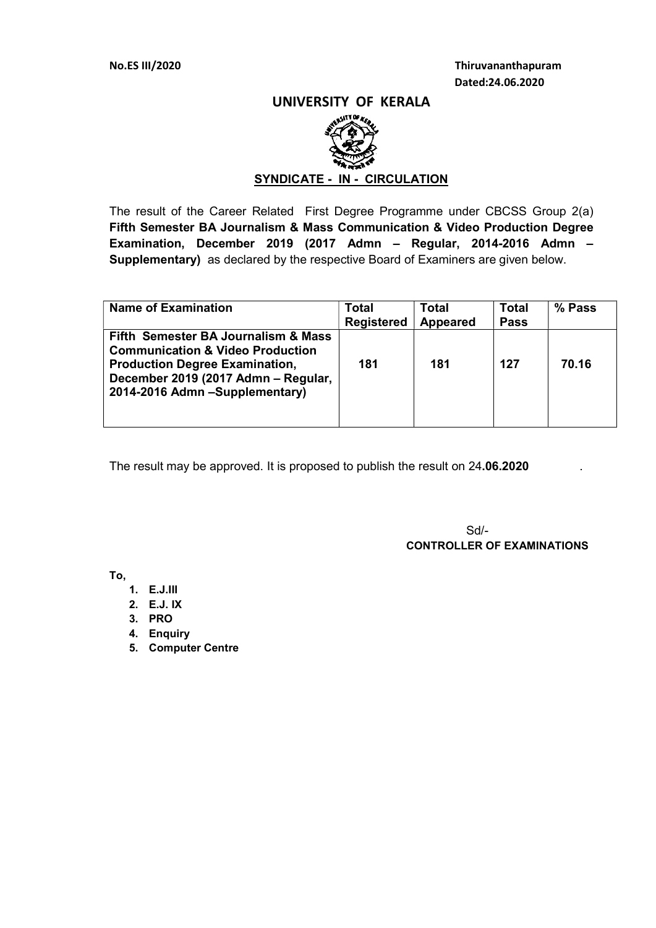### UNIVERSITY OF KERALA



# SYNDICATE - IN - CIRCULATION

The result of the Career Related First Degree Programme under CBCSS Group 2(a) Fifth Semester BA Journalism & Mass Communication & Video Production Degree Examination, December 2019 (2017 Admn – Regular, 2014-2016 Admn – Supplementary) as declared by the respective Board of Examiners are given below.

| <b>Name of Examination</b>                                                                                                                                                                           | Total<br><b>Registered</b> | Total<br><b>Appeared</b> | Total<br><b>Pass</b> | % Pass |
|------------------------------------------------------------------------------------------------------------------------------------------------------------------------------------------------------|----------------------------|--------------------------|----------------------|--------|
| Fifth Semester BA Journalism & Mass<br><b>Communication &amp; Video Production</b><br><b>Production Degree Examination,</b><br>December 2019 (2017 Admn - Regular,<br>2014-2016 Admn -Supplementary) | 181                        | 181                      | 127                  | 70.16  |

The result may be approved. It is proposed to publish the result on 24.06.2020

 $S$ d/- $S$ CONTROLLER OF EXAMINATIONS

To,

- 1. E.J.III
- 2. E.J. IX
- 3. PRO
- 4. Enquiry
- 5. Computer Centre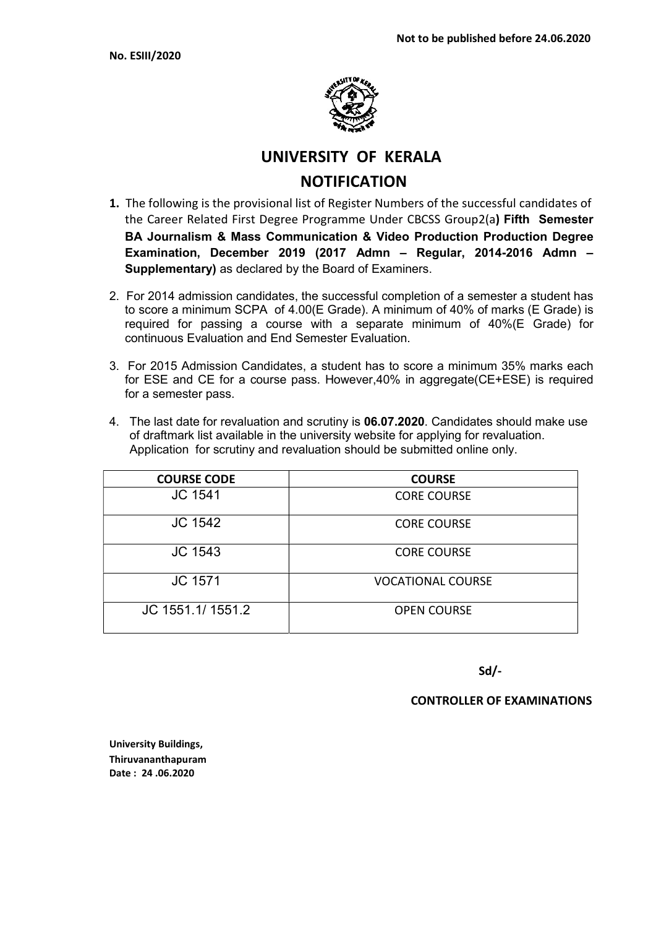

# UNIVERSITY OF KERALA

# **NOTIFICATION**

- 1. The following is the provisional list of Register Numbers of the successful candidates of the Career Related First Degree Programme Under CBCSS Group2(a) Fifth Semester BA Journalism & Mass Communication & Video Production Production Degree Examination, December 2019 (2017 Admn – Regular, 2014-2016 Admn – Supplementary) as declared by the Board of Examiners.
- 2. For 2014 admission candidates, the successful completion of a semester a student has to score a minimum SCPA of 4.00(E Grade). A minimum of 40% of marks (E Grade) is required for passing a course with a separate minimum of 40%(E Grade) for continuous Evaluation and End Semester Evaluation.
- 3. For 2015 Admission Candidates, a student has to score a minimum 35% marks each for ESE and CE for a course pass. However,40% in aggregate(CE+ESE) is required for a semester pass.
- 4. The last date for revaluation and scrutiny is 06.07.2020. Candidates should make use of draftmark list available in the university website for applying for revaluation. Application for scrutiny and revaluation should be submitted online only.

| <b>COURSE CODE</b> | <b>COURSE</b>            |
|--------------------|--------------------------|
| <b>JC 1541</b>     | <b>CORE COURSE</b>       |
| <b>JC 1542</b>     | <b>CORE COURSE</b>       |
| <b>JC 1543</b>     | <b>CORE COURSE</b>       |
| <b>JC 1571</b>     | <b>VOCATIONAL COURSE</b> |
| JC 1551.1/1551.2   | <b>OPEN COURSE</b>       |

Sd/-

CONTROLLER OF EXAMINATIONS

University Buildings, Thiruvananthapuram Date : 24 .06.2020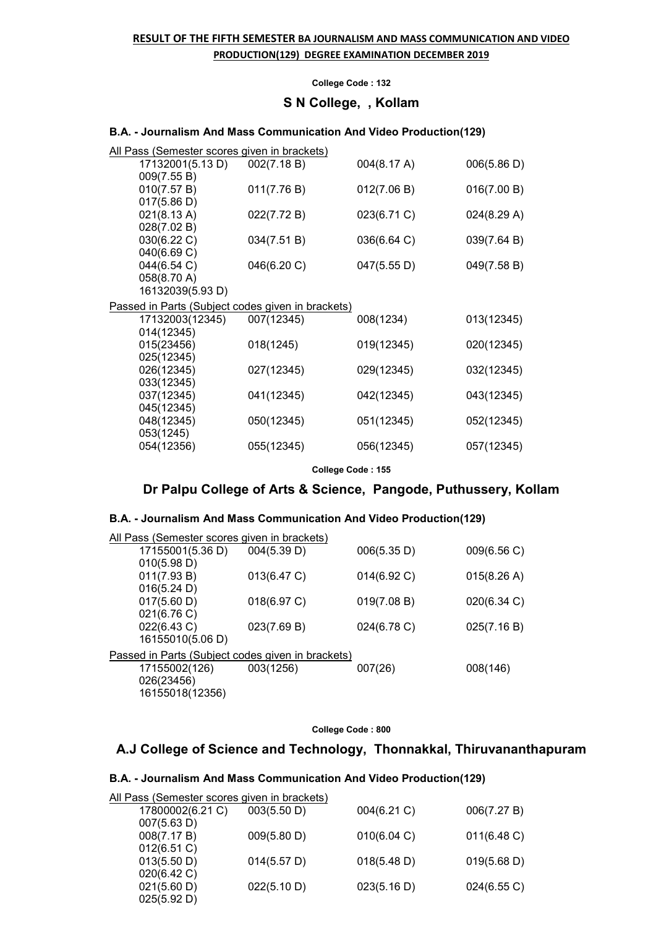# RESULT OF THE FIFTH SEMESTER BA JOURNALISM AND MASS COMMUNICATION AND VIDEO PRODUCTION(129) DEGREE EXAMINATION DECEMBER 2019

#### College Code : 132

## S N College, , Kollam

#### B.A. - Journalism And Mass Communication And Video Production(129)

| <u> All Pass (Semester scores given in brackets)</u> |             |             |             |  |
|------------------------------------------------------|-------------|-------------|-------------|--|
| 17132001(5.13 D)                                     | 002(7.18 B) | 004(8.17 A) | 006(5.86 D) |  |
| 009(7.55 B)                                          |             |             |             |  |
| 010(7.57 B)                                          | 011(7.76 B) | 012(7.06 B) | 016(7.00 B) |  |
| 017(5.86 D)                                          |             |             |             |  |
| 021(8.13 A)                                          | 022(7.72 B) | 023(6.71 C) | 024(8.29 A) |  |
| 028(7.02 B)                                          |             |             |             |  |
| 030(6.22 C)                                          | 034(7.51 B) | 036(6.64 C) | 039(7.64 B) |  |
| 040(6.69 C)                                          |             |             |             |  |
| 044(6.54 C)                                          | 046(6.20 C) | 047(5.55 D) | 049(7.58 B) |  |
| 058(8.70 A)                                          |             |             |             |  |
| 16132039(5.93 D)                                     |             |             |             |  |
| Passed in Parts (Subject codes given in brackets)    |             |             |             |  |
| 17132003(12345)                                      | 007(12345)  | 008(1234)   | 013(12345)  |  |
| 014(12345)                                           |             |             |             |  |
| 015(23456)                                           | 018(1245)   | 019(12345)  | 020(12345)  |  |
| 025(12345)                                           |             |             |             |  |
| 026(12345)                                           | 027(12345)  | 029(12345)  | 032(12345)  |  |
| 033(12345)                                           |             |             |             |  |
| 037(12345)                                           | 041(12345)  | 042(12345)  | 043(12345)  |  |
| 045(12345)                                           |             |             |             |  |
| 048(12345)                                           | 050(12345)  | 051(12345)  | 052(12345)  |  |
| 053(1245)                                            |             |             |             |  |
| 054(12356)                                           | 055(12345)  | 056(12345)  | 057(12345)  |  |
|                                                      |             |             |             |  |
| College Code: 155                                    |             |             |             |  |

### Dr Palpu College of Arts & Science, Pangode, Puthussery, Kollam

### B.A. - Journalism And Mass Communication And Video Production(129)

| All Pass (Semester scores given in brackets)      |             |             |             |
|---------------------------------------------------|-------------|-------------|-------------|
| 17155001(5.36 D)                                  | 004(5.39 D) | 006(5.35 D) | 009(6.56 C) |
| 010(5.98 D)                                       |             |             |             |
| 011(7.93 B)                                       | 013(6.47 C) | 014(6.92 C) | 015(8.26 A) |
| 016(5.24 D)                                       |             |             |             |
| 017(5.60 D)                                       | 018(6.97 C) | 019(7.08 B) | 020(6.34 C) |
| 021(6.76 C)                                       |             |             |             |
| 022(6.43 C)                                       | 023(7.69 B) | 024(6.78 C) | 025(7.16 B) |
| 16155010(5.06 D)                                  |             |             |             |
| Passed in Parts (Subject codes given in brackets) |             |             |             |
| 17155002(126)                                     | 003(1256)   | 007(26)     | 008(146)    |
| 026(23456)                                        |             |             |             |
| 16155018(12356)                                   |             |             |             |
|                                                   |             |             |             |

#### College Code : 800

# A.J College of Science and Technology, Thonnakkal, Thiruvananthapuram

# B.A. - Journalism And Mass Communication And Video Production(129)

| All Pass (Semester scores given in brackets) |             |             |             |
|----------------------------------------------|-------------|-------------|-------------|
| 17800002(6.21 C)                             | 003(5.50 D) | 004(6.21 C) | 006(7.27 B) |
| 007(5.63 D)                                  |             |             |             |
| 008(7.17 B)                                  | 009(5.80 D) | 010(6.04 C) | 011(6.48)   |
| 012(6.51 C)                                  |             |             |             |
| 013(5.50 D)                                  | 014(5.57 D) | 018(5.48 D) | 019(5.68 D) |
| 020(6.42 C)                                  |             |             |             |
| 021(5.60 D)                                  | 022(5.10 D) | 023(5.16 D) | 024(6.55 C) |
| 025(5.92 D)                                  |             |             |             |